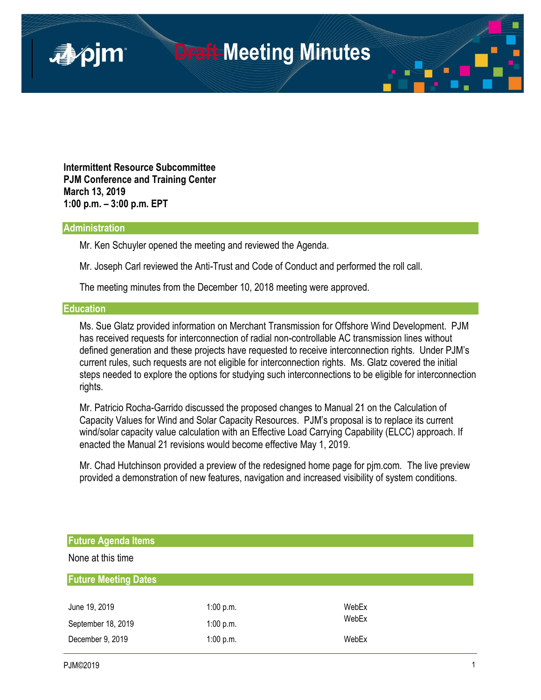

**Intermittent Resource Subcommittee PJM Conference and Training Center March 13, 2019 1:00 p.m. – 3:00 p.m. EPT**

## **Administration**

Mr. Ken Schuyler opened the meeting and reviewed the Agenda.

Mr. Joseph Carl reviewed the Anti-Trust and Code of Conduct and performed the roll call.

The meeting minutes from the December 10, 2018 meeting were approved.

## **Education**

Ms. Sue Glatz provided information on Merchant Transmission for Offshore Wind Development. PJM has received requests for interconnection of radial non-controllable AC transmission lines without defined generation and these projects have requested to receive interconnection rights. Under PJM's current rules, such requests are not eligible for interconnection rights. Ms. Glatz covered the initial steps needed to explore the options for studying such interconnections to be eligible for interconnection rights.

Mr. Patricio Rocha-Garrido discussed the proposed changes to Manual 21 on the Calculation of Capacity Values for Wind and Solar Capacity Resources. PJM's proposal is to replace its current wind/solar capacity value calculation with an Effective Load Carrying Capability (ELCC) approach. If enacted the Manual 21 revisions would become effective May 1, 2019.

Mr. Chad Hutchinson provided a preview of the redesigned home page for pjm.com. The live preview provided a demonstration of new features, navigation and increased visibility of system conditions.

| <b>Future Agenda Items</b>  |           |       |  |  |  |
|-----------------------------|-----------|-------|--|--|--|
| None at this time           |           |       |  |  |  |
| <b>Future Meeting Dates</b> |           |       |  |  |  |
| June 19, 2019               | 1:00 p.m. | WebEx |  |  |  |
| September 18, 2019          | 1:00 p.m. | WebEx |  |  |  |
| December 9, 2019            | 1:00 p.m. | WebEx |  |  |  |